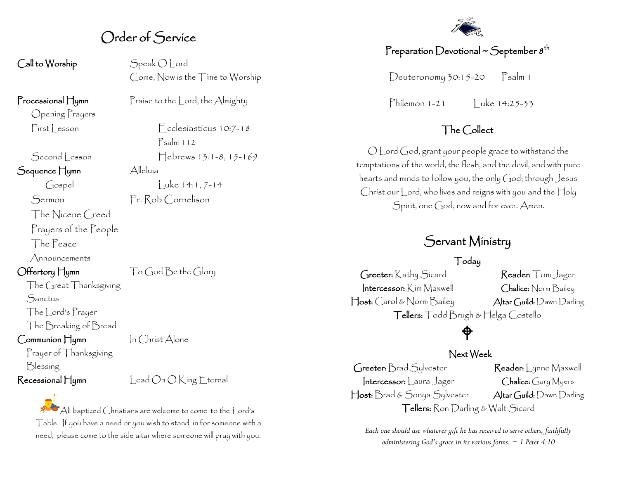## Order of Service

Call to Worship Speak O Lord

Come, Now is the Time to Worship

Opening Prayers

Sequence Hymn Alleluía

The Nicene Creed

Prayers of the People

The Peace

Announcements

The Great Thanksgiving

**Sanctus** 

The Lord's Prayer

The Breaking of Bread

Communion Hymn In Christ Alone

Prayer of Thanksgiving Blessing

 $Recesional H_{\text{Ymm}}$   $\qquad$   $\qquad$   $\qquad$   $\qquad$   $\qquad$   $\qquad$   $\qquad$   $\qquad$   $\qquad$   $\qquad$   $\qquad$   $\qquad$   $\qquad$   $\qquad$   $\qquad$   $\qquad$   $\qquad$   $\qquad$   $\qquad$   $\qquad$   $\qquad$   $\qquad$   $\qquad$   $\qquad$   $\qquad$   $\qquad$   $\qquad$   $\qquad$   $\qquad$   $\qquad$   $\qquad$   $\qquad$   $\qquad$   $\qquad$   $\q$ 

All baptized Christians are welcome to come to the Lord's Table. If you have a need or you wish to stand in for someone with a need, please come to the side altar where someone will pray with you.

Processional Hymn Praise to the Lord, the Almighty

 $First less on$   $F_{\text{cc}}$  Lesson  $F_{\text{cc}}$  Lesson  $F_{\text{cc}}$ Psalm 112 Second Lesson Hebrews 13:1-8, 15-169

Gospel Luke 14:1, 7-14 Sermon Fr. Rob Cornelison

Offertory Hymn  $\bigcap_{\mathcal{O}}\bigcap_{\mathcal{O}}\bigcap_{\mathcal{O}}$  the Glory

## Preparation Devotional ~ September  $s^{\text{th}}$

Deuteronomy  $30:15-20$  Psalm 1

 $P<sub>h</sub>$ ilemon 1-21  $\vert$  uke 14:25-33

### The Collect

O Lord God, grant your people grace to withstand the temptations of the world, the flesh, and the devil, and with pure hearts and minds to follow you, the only God; through Jesus Christ our Lord, who lives and reigns with you and the Holy Spirit, one God, now and for ever. Amen.

## Servant Ministry

#### Today

Greeter: Kathy Sicard Reader: Tom Jager Intercessor: Kim Maxwell Chalice: Norm Bailey Host: Carol & Norm Bailey Altar Guild: Dawn Darling Tellers: Todd Brugh & Helga Costello

## ♦

#### Next Week

Greeter: Brad Sylvester Reader: Lynne Maxwell Intercessor: Laura Jager Chalice: Gary Myers Host: Brad & Sonya Sylvester Altar Guild: Dawn Darling Tellers: Ron Darling & Walt Sicard

*Each one should use whatever gift he has received to serve others, faithfully administering God's grace in its various forms. ~ 1 Peter 4:10*